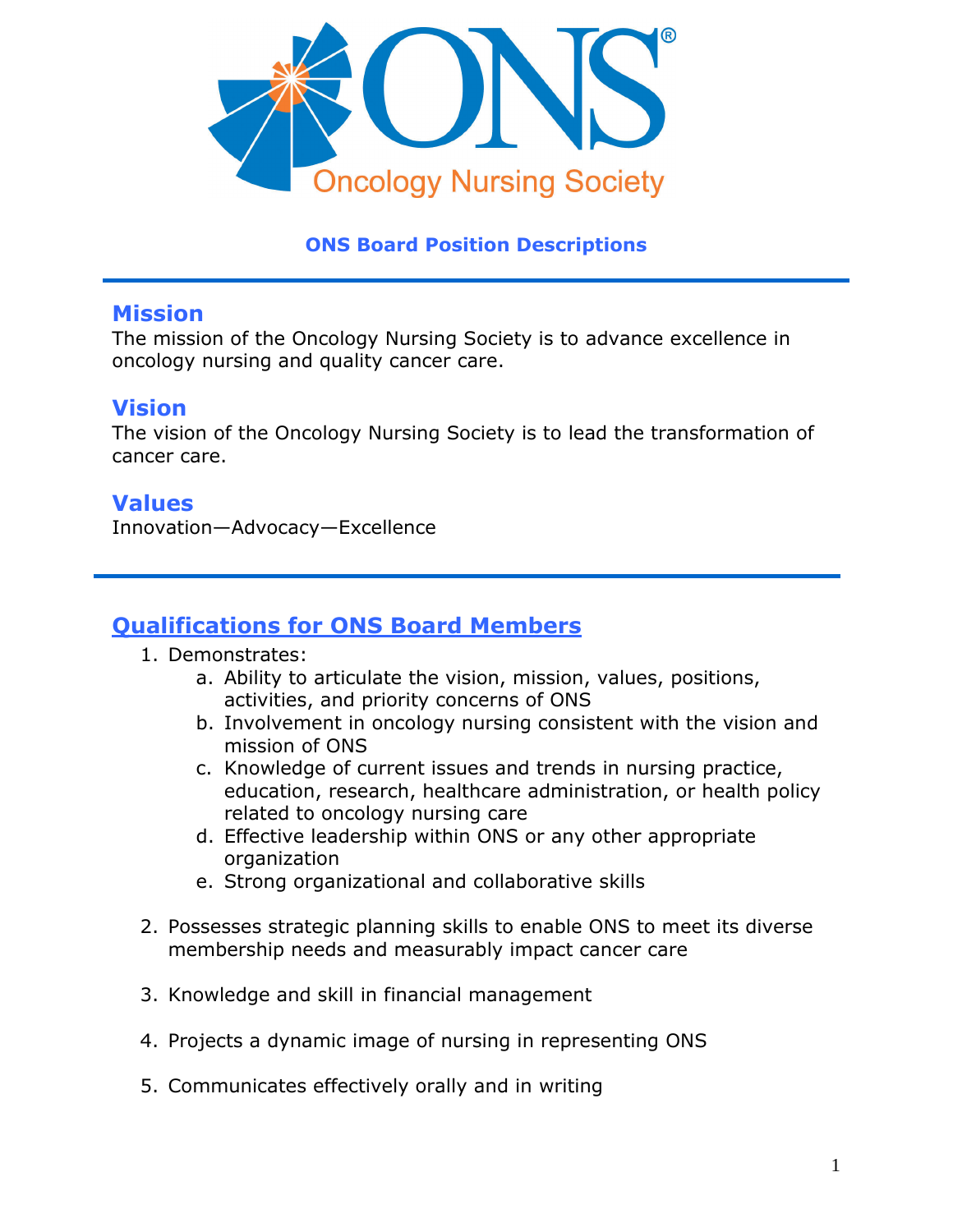

#### **ONS Board Position Descriptions**

#### **Mission**

The mission of the Oncology Nursing Society is to advance excellence in oncology nursing and quality cancer care.

#### **Vision**

The vision of the Oncology Nursing Society is to lead the transformation of cancer care.

#### **Values**

Innovation—Advocacy—Excellence

## **Qualifications for ONS Board Members**

- 1. Demonstrates:
	- a. Ability to articulate the vision, mission, values, positions, activities, and priority concerns of ONS
	- b. Involvement in oncology nursing consistent with the vision and mission of ONS
	- c. Knowledge of current issues and trends in nursing practice, education, research, healthcare administration, or health policy related to oncology nursing care
	- d. Effective leadership within ONS or any other appropriate organization
	- e. Strong organizational and collaborative skills
- 2. Possesses strategic planning skills to enable ONS to meet its diverse membership needs and measurably impact cancer care
- 3. Knowledge and skill in financial management
- 4. Projects a dynamic image of nursing in representing ONS
- 5. Communicates effectively orally and in writing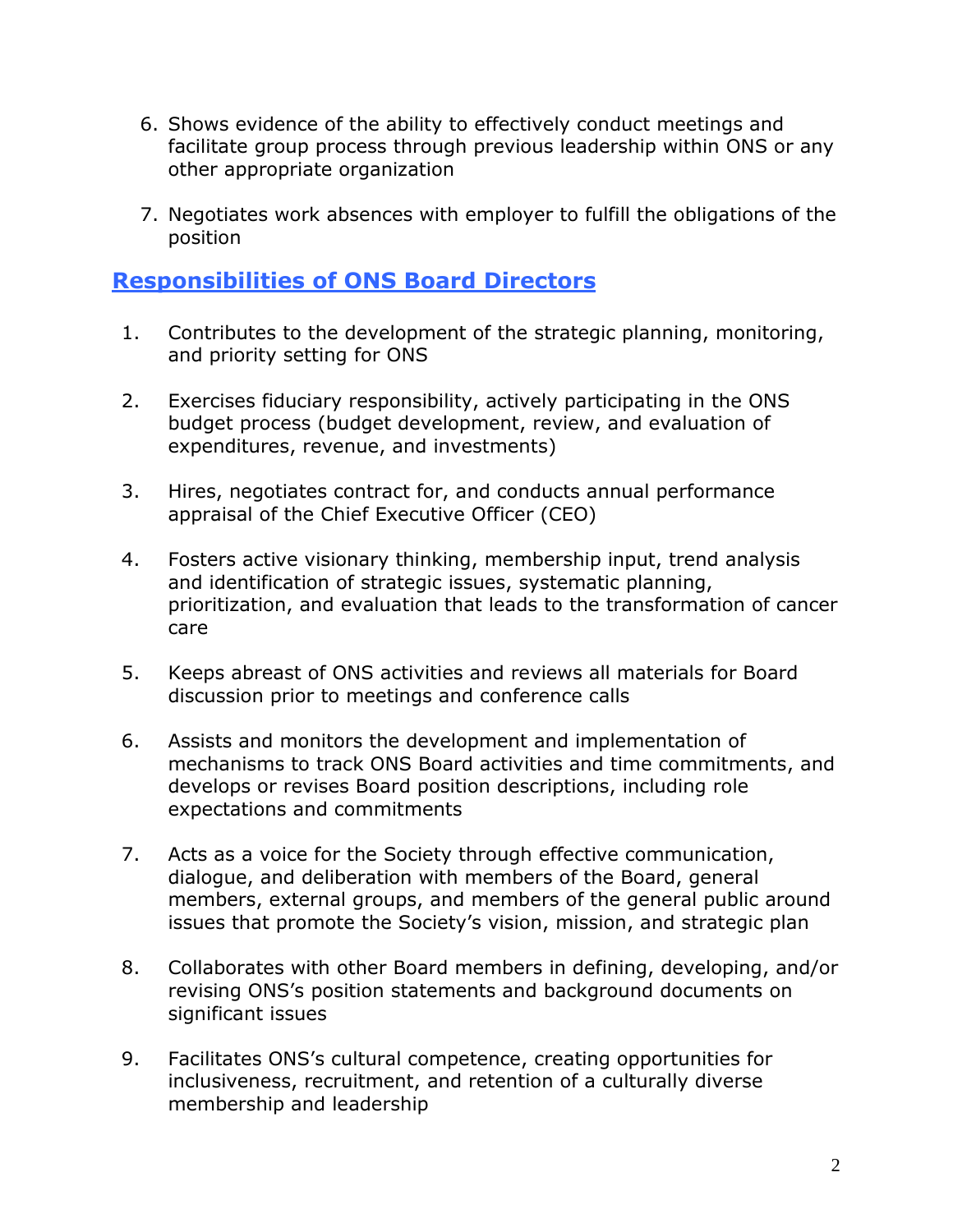- 6. Shows evidence of the ability to effectively conduct meetings and facilitate group process through previous leadership within ONS or any other appropriate organization
- 7. Negotiates work absences with employer to fulfill the obligations of the position

### **Responsibilities of ONS Board Directors**

- 1. Contributes to the development of the strategic planning, monitoring, and priority setting for ONS
- 2. Exercises fiduciary responsibility, actively participating in the ONS budget process (budget development, review, and evaluation of expenditures, revenue, and investments)
- 3. Hires, negotiates contract for, and conducts annual performance appraisal of the Chief Executive Officer (CEO)
- 4. Fosters active visionary thinking, membership input, trend analysis and identification of strategic issues, systematic planning, prioritization, and evaluation that leads to the transformation of cancer care
- 5. Keeps abreast of ONS activities and reviews all materials for Board discussion prior to meetings and conference calls
- 6. Assists and monitors the development and implementation of mechanisms to track ONS Board activities and time commitments, and develops or revises Board position descriptions, including role expectations and commitments
- 7. Acts as a voice for the Society through effective communication, dialogue, and deliberation with members of the Board, general members, external groups, and members of the general public around issues that promote the Society's vision, mission, and strategic plan
- 8. Collaborates with other Board members in defining, developing, and/or revising ONS's position statements and background documents on significant issues
- 9. Facilitates ONS's cultural competence, creating opportunities for inclusiveness, recruitment, and retention of a culturally diverse membership and leadership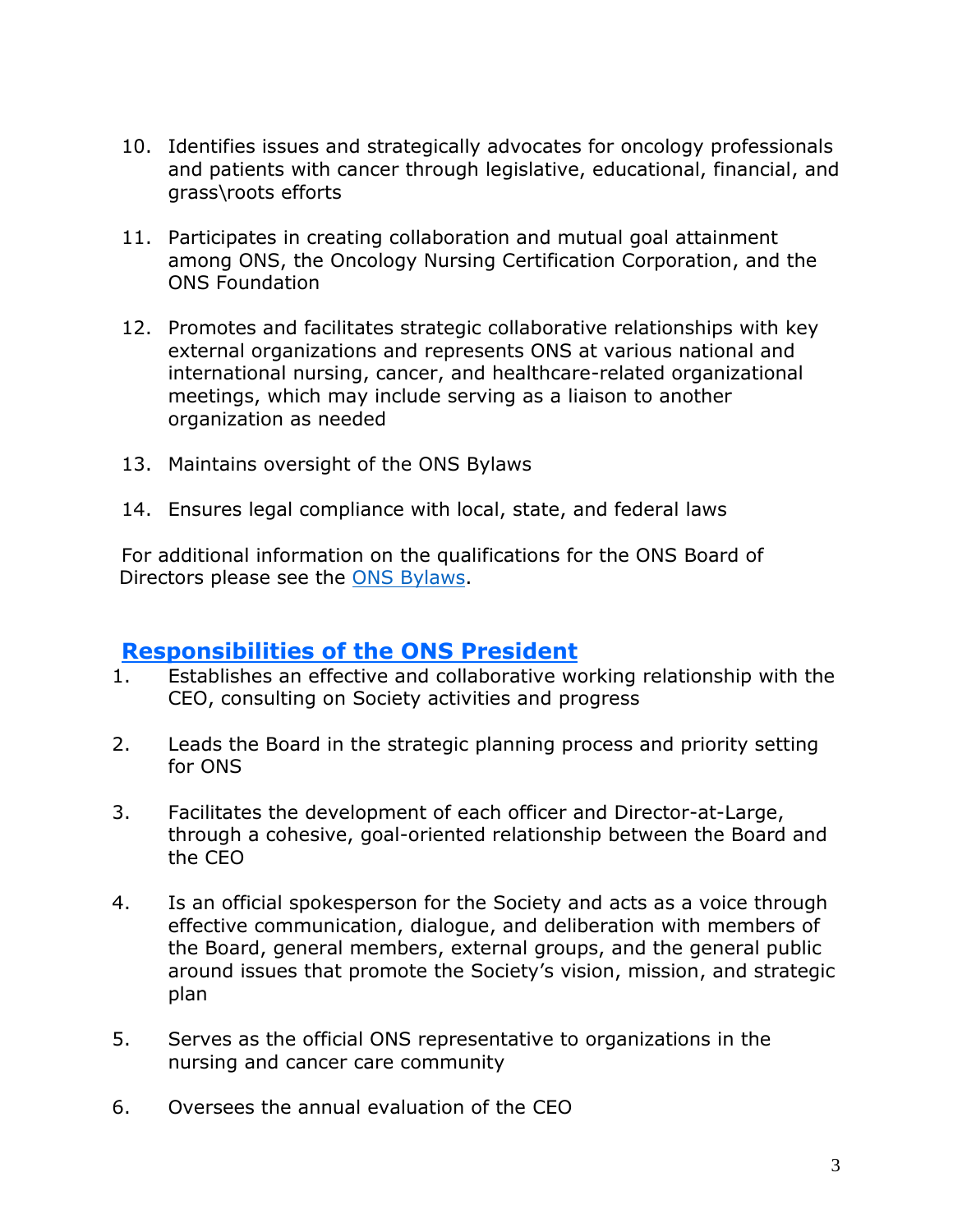- 10. Identifies issues and strategically advocates for oncology professionals and patients with cancer through legislative, educational, financial, and grass\roots efforts
- 11. Participates in creating collaboration and mutual goal attainment among ONS, the Oncology Nursing Certification Corporation, and the ONS Foundation
- 12. Promotes and facilitates strategic collaborative relationships with key external organizations and represents ONS at various national and international nursing, cancer, and healthcare-related organizational meetings, which may include serving as a liaison to another organization as needed
- 13. Maintains oversight of the ONS Bylaws
- 14. Ensures legal compliance with local, state, and federal laws

For additional information on the qualifications for the ONS Board of Directors please see the [ONS Bylaws.](https://www.ons.org/about/bylaws)

### **Responsibilities of the ONS President**

- 1. Establishes an effective and collaborative working relationship with the CEO, consulting on Society activities and progress
- 2. Leads the Board in the strategic planning process and priority setting for ONS
- 3. Facilitates the development of each officer and Director-at-Large, through a cohesive, goal-oriented relationship between the Board and the CEO
- 4. Is an official spokesperson for the Society and acts as a voice through effective communication, dialogue, and deliberation with members of the Board, general members, external groups, and the general public around issues that promote the Society's vision, mission, and strategic plan
- 5. Serves as the official ONS representative to organizations in the nursing and cancer care community
- 6. Oversees the annual evaluation of the CEO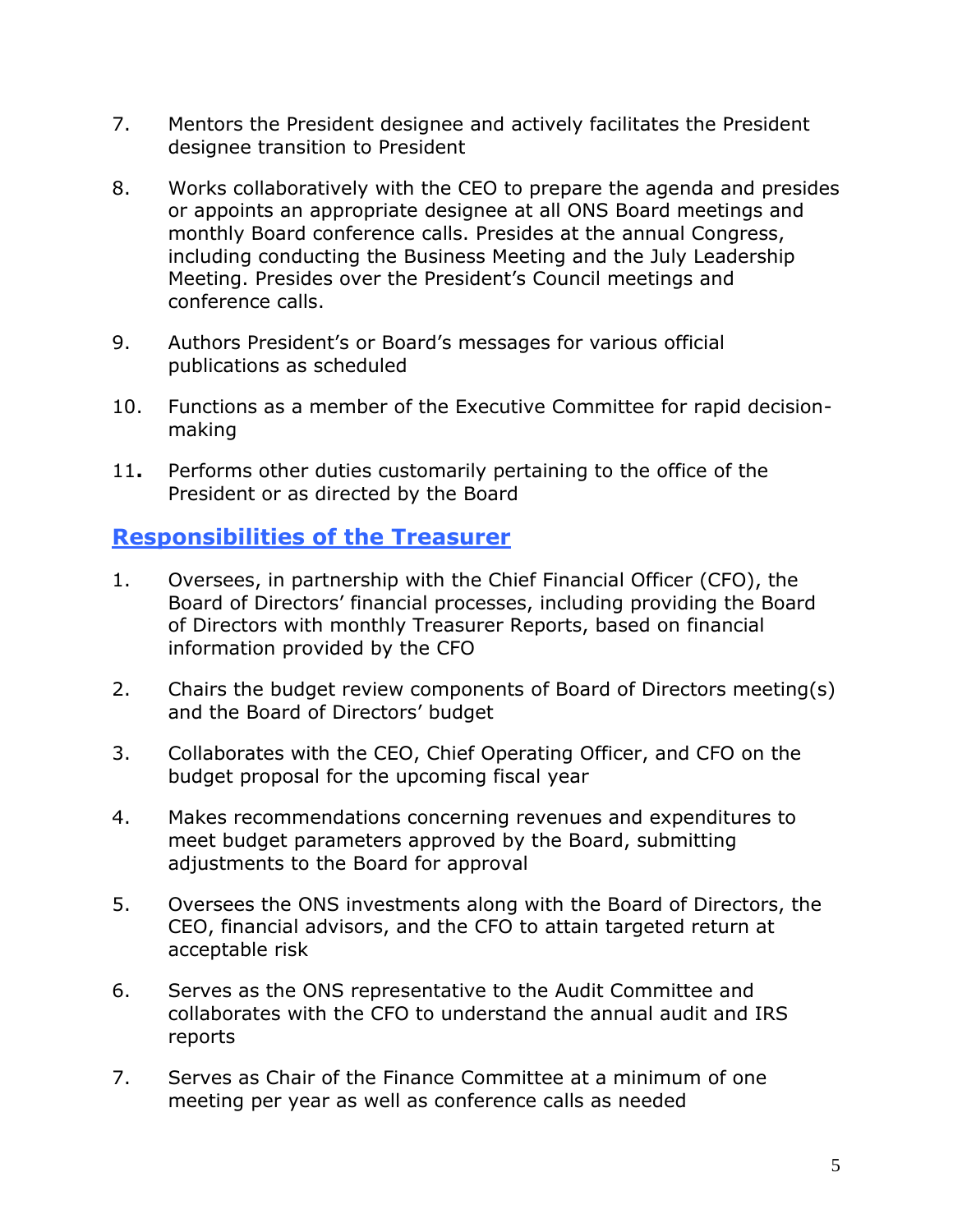- 7. Mentors the President designee and actively facilitates the President designee transition to President
- 8. Works collaboratively with the CEO to prepare the agenda and presides or appoints an appropriate designee at all ONS Board meetings and monthly Board conference calls. Presides at the annual Congress, including conducting the Business Meeting and the July Leadership Meeting. Presides over the President's Council meetings and conference calls.
- 9. Authors President's or Board's messages for various official publications as scheduled
- 10. Functions as a member of the Executive Committee for rapid decisionmaking
- 11**.** Performs other duties customarily pertaining to the office of the President or as directed by the Board

### **Responsibilities of the Treasurer**

- 1. Oversees, in partnership with the Chief Financial Officer (CFO), the Board of Directors' financial processes, including providing the Board of Directors with monthly Treasurer Reports, based on financial information provided by the CFO
- 2. Chairs the budget review components of Board of Directors meeting(s) and the Board of Directors' budget
- 3. Collaborates with the CEO, Chief Operating Officer, and CFO on the budget proposal for the upcoming fiscal year
- 4. Makes recommendations concerning revenues and expenditures to meet budget parameters approved by the Board, submitting adjustments to the Board for approval
- 5. Oversees the ONS investments along with the Board of Directors, the CEO, financial advisors, and the CFO to attain targeted return at acceptable risk
- 6. Serves as the ONS representative to the Audit Committee and collaborates with the CFO to understand the annual audit and IRS reports
- 7. Serves as Chair of the Finance Committee at a minimum of one meeting per year as well as conference calls as needed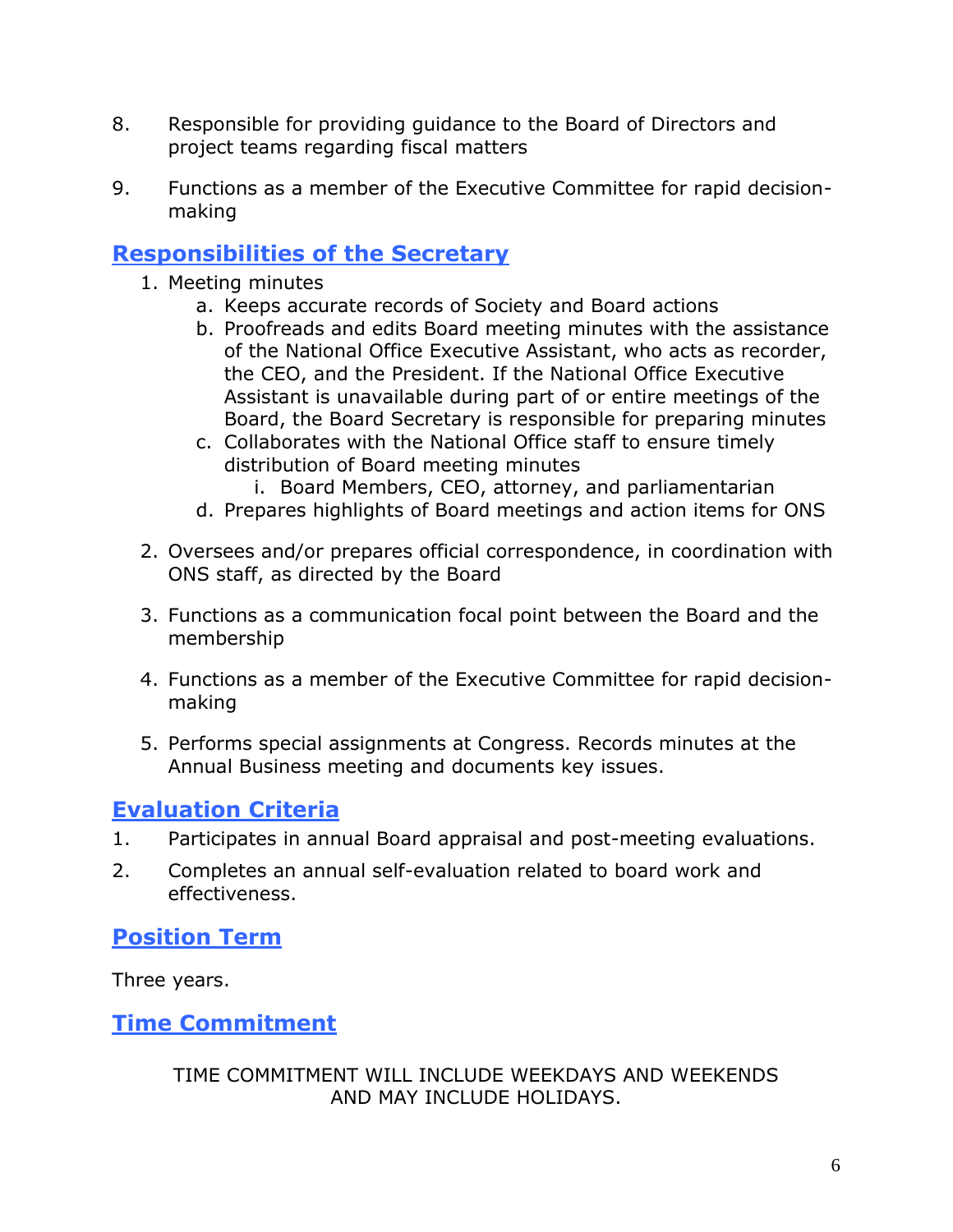- 8. Responsible for providing guidance to the Board of Directors and project teams regarding fiscal matters
- 9. Functions as a member of the Executive Committee for rapid decisionmaking

## **Responsibilities of the Secretary**

- 1. Meeting minutes
	- a. Keeps accurate records of Society and Board actions
	- b. Proofreads and edits Board meeting minutes with the assistance of the National Office Executive Assistant, who acts as recorder, the CEO, and the President. If the National Office Executive Assistant is unavailable during part of or entire meetings of the Board, the Board Secretary is responsible for preparing minutes
	- c. Collaborates with the National Office staff to ensure timely distribution of Board meeting minutes
		- i. Board Members, CEO, attorney, and parliamentarian
	- d. Prepares highlights of Board meetings and action items for ONS
- 2. Oversees and/or prepares official correspondence, in coordination with ONS staff, as directed by the Board
- 3. Functions as a communication focal point between the Board and the membership
- 4. Functions as a member of the Executive Committee for rapid decisionmaking
- 5. Performs special assignments at Congress. Records minutes at the Annual Business meeting and documents key issues.

# **Evaluation Criteria**

- 1. Participates in annual Board appraisal and post-meeting evaluations.
- 2. Completes an annual self-evaluation related to board work and effectiveness.

# **Position Term**

Three years.

**Time Commitment**

TIME COMMITMENT WILL INCLUDE WEEKDAYS AND WEEKENDS AND MAY INCLUDE HOLIDAYS.